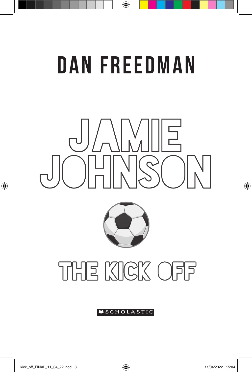### DAN FREEDMAN

⊕





THE KICK OFF

#### **MSCHOLASTIC**

 $\bigoplus$ 

 $\bigoplus$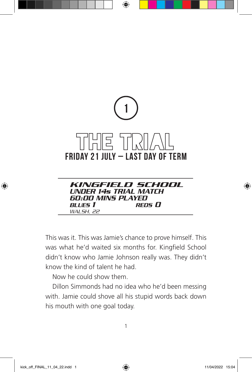

⊕

#### *KINGFIELD SCHOOL UNDER 14s TRIAL MATCH 60:00 MINS PLAYED BLUES 1 REDS 0 WALSH, 22*

This was it. This was Jamie's chance to prove himself. This was what he'd waited six months for. Kingfield School didn't know who Jamie Johnson really was. They didn't know the kind of talent he had.

Now he could show them.

Dillon Simmonds had no idea who he'd been messing with. Jamie could shove all his stupid words back down his mouth with one goal today.

⊕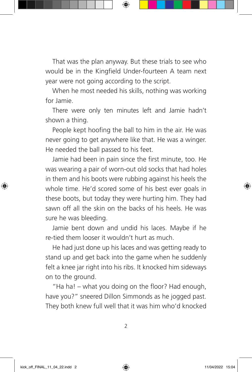That was the plan anyway. But these trials to see who would be in the Kingfield Under-fourteen A team next year were not going according to the script.

When he most needed his skills, nothing was working for Jamie.

There were only ten minutes left and Jamie hadn't shown a thing.

People kept hoofing the ball to him in the air. He was never going to get anywhere like that. He was a winger. He needed the ball passed to his feet.

Jamie had been in pain since the first minute, too. He was wearing a pair of worn-out old socks that had holes in them and his boots were rubbing against his heels the whole time. He'd scored some of his best ever goals in these boots, but today they were hurting him. They had sawn off all the skin on the backs of his heels. He was sure he was bleeding.

Jamie bent down and undid his laces. Maybe if he re-tied them looser it wouldn't hurt as much.

He had just done up his laces and was getting ready to stand up and get back into the game when he suddenly felt a knee jar right into his ribs. It knocked him sideways on to the ground.

"Ha ha! – what you doing on the floor? Had enough, have you?" sneered Dillon Simmonds as he jogged past. They both knew full well that it was him who'd knocked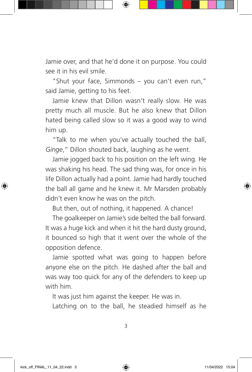Jamie over, and that he'd done it on purpose. You could see it in his evil smile.

"Shut your face, Simmonds – you can't even run," said Jamie, getting to his feet.

Jamie knew that Dillon wasn't really slow. He was pretty much all muscle. But he also knew that Dillon hated being called slow so it was a good way to wind him up.

"Talk to me when you've actually touched the ball, *Ginge*," Dillon shouted back, laughing as he went.

Jamie jogged back to his position on the left wing. He was shaking his head. The sad thing was, for once in his life Dillon actually had a point. Jamie had hardly touched the ball all game and he knew it. Mr Marsden probably didn't even know he was on the pitch.

But then, out of nothing, it happened. A chance!

The goalkeeper on Jamie's side belted the ball forward. It was a huge kick and when it hit the hard dusty ground, it bounced so high that it went over the whole of the opposition defence.

Jamie spotted what was going to happen before anyone else on the pitch. He dashed after the ball and was way too quick for any of the defenders to keep up with him.

It was just him against the keeper. He was in.

Latching on to the ball, he steadied himself as he

3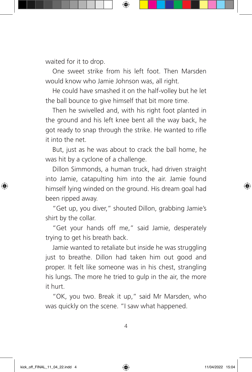waited for it to drop.

One sweet strike from his left foot. Then Marsden would know who Jamie Johnson was, all right.

He could have smashed it on the half-volley but he let the ball bounce to give himself that bit more time.

Then he swivelled and, with his right foot planted in the ground and his left knee bent all the way back, he got ready to snap through the strike. He wanted to rifle it into the net.

But, just as he was about to crack the ball home, he was hit by a cyclone of a challenge.

Dillon Simmonds, a human truck, had driven straight into Jamie, catapulting him into the air. Jamie found himself lying winded on the ground. His dream goal had been ripped away.

"Get up, you diver," shouted Dillon, grabbing Jamie's shirt by the collar.

"Get your hands off me," said Jamie, desperately trying to get his breath back.

Jamie wanted to retaliate but inside he was struggling just to breathe. Dillon had taken him out good and proper. It felt like someone was in his chest, strangling his lungs. The more he tried to gulp in the air, the more it hurt.

"OK, you two. Break it up," said Mr Marsden, who was quickly on the scene. "I saw what happened.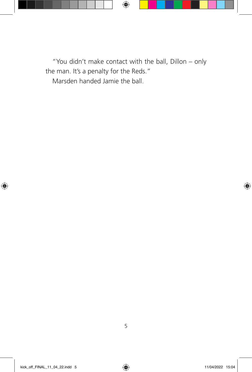$\bigoplus$ 

"You didn't make contact with the ball, Dillon – only the man. It's a penalty for the Reds." Marsden handed Jamie the ball.

 $\bigoplus$ 

◈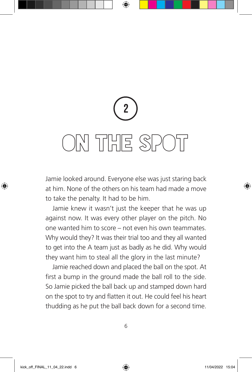# 2 ON THE SPC

Jamie looked around. Everyone else was just staring back at him. None of the others on his team had made a move to take the penalty. It had to be him.

Jamie knew it wasn't just the keeper that he was up against now. It was every other player on the pitch. No one wanted him to score – not even his own teammates. Why would they? It was their trial too and they all wanted to get into the A team just as badly as he did. Why would they want him to steal all the glory in the last minute?

Jamie reached down and placed the ball on the spot. At first a bump in the ground made the ball roll to the side. So Jamie picked the ball back up and stamped down hard on the spot to try and flatten it out. He could feel his heart thudding as he put the ball back down for a second time.

⊕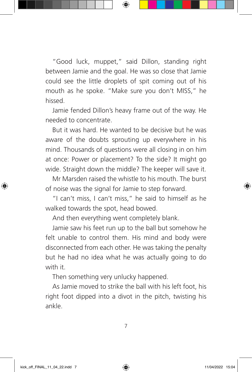"Good luck, muppet," said Dillon, standing right between Jamie and the goal. He was so close that Jamie could see the little droplets of spit coming out of his mouth as he spoke. "Make sure you don't MISS," he hissed.

Jamie fended Dillon's heavy frame out of the way. He needed to concentrate.

But it was hard. He wanted to be decisive but he was aware of the doubts sprouting up everywhere in his mind. Thousands of questions were all closing in on him at once: Power or placement? To the side? It might go wide. Straight down the middle? The keeper will save it.

Mr Marsden raised the whistle to his mouth. The burst of noise was the signal for Jamie to step forward.

"I can't miss, I can't miss," he said to himself as he walked towards the spot, head bowed.

And then everything went completely blank.

Jamie saw his feet run up to the ball but somehow he felt unable to control them. His mind and body were disconnected from each other. He was taking the penalty but he had no idea what he was actually going to do with it.

Then something very unlucky happened.

As Jamie moved to strike the ball with his left foot, his right foot dipped into a divot in the pitch, twisting his ankle.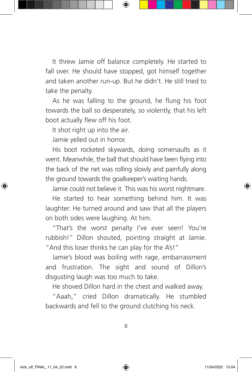It threw Jamie off balance completely. He started to fall over. He should have stopped, got himself together and taken another run-up. But he didn't. He still tried to take the penalty.

As he was falling to the ground, he flung his foot towards the ball so desperately, so violently, that his left boot actually flew off his foot.

It shot right up into the air.

Jamie yelled out in horror.

His boot rocketed skywards, doing somersaults as it went. Meanwhile, the ball that should have been flying into the back of the net was rolling slowly and painfully along the ground towards the goalkeeper's waiting hands.

Jamie could not believe it. This was his worst nightmare.

He started to hear something behind him. It was laughter. He turned around and saw that all the players on both sides were laughing. At him.

"That's the worst penalty I've ever seen! You're rubbish!" Dillon shouted, pointing straight at Jamie. "And this loser thinks he can play for the A's!"

Jamie's blood was boiling with rage, embarrassment and frustration. The sight and sound of Dillon's disgusting laugh was too much to take.

He shoved Dillon hard in the chest and walked away.

"Aaah," cried Dillon dramatically. He stumbled backwards and fell to the ground clutching his neck.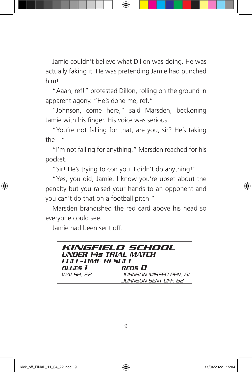Jamie couldn't believe what Dillon was doing. He was actually faking it. He was pretending Jamie had punched him!

"Aaah, ref!" protested Dillon, rolling on the ground in apparent agony. "He's done me, ref."

"Johnson, come here," said Marsden, beckoning Jamie with his finger. His voice was serious.

"You're not falling for that, are you, sir? He's taking the—"

"I'm not falling for anything." Marsden reached for his pocket.

"Sir! He's trying to con you. I didn't do anything!"

"Yes, you did, Jamie. I know you're upset about the penalty but you raised your hands to an opponent and you can't do that on a football pitch."

Marsden brandished the red card above his head so everyone could see.

Jamie had been sent off.

| KINGFIELD SCHOOL<br>LINDER 14s TRIAL MATCH<br><i>FULL-TIME RESULT</i> |                        |
|-----------------------------------------------------------------------|------------------------|
| <i>BLUES 1</i>                                                        | REDS O                 |
| <b>WALSH. 22</b>                                                      | JOHNSON MISSED PEN. 61 |
|                                                                       | JOHNSON SENT OFF. 62   |

◈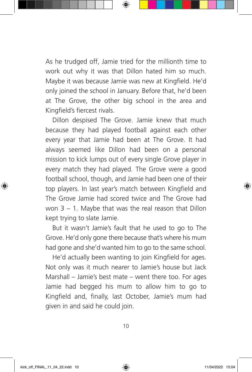As he trudged off, Jamie tried for the millionth time to work out why it was that Dillon hated him so much. Maybe it was because Jamie was new at Kingfield. He'd only joined the school in January. Before that, he'd been at The Grove, the other big school in the area and Kingfield's fiercest rivals.

Dillon despised The Grove. Jamie knew that much because they had played football against each other every year that Jamie had been at The Grove. It had always seemed like Dillon had been on a personal mission to kick lumps out of every single Grove player in every match they had played. The Grove were a good football school, though, and Jamie had been one of their top players. In last year's match between Kingfield and The Grove Jamie had scored twice and The Grove had won 3 – 1. Maybe that was the real reason that Dillon kept trying to slate Jamie.

But it wasn't Jamie's fault that he used to go to The Grove. He'd only gone there because that's where his mum had gone and she'd wanted him to go to the same school.

He'd actually been wanting to join Kingfield for ages. Not only was it much nearer to Jamie's house but Jack Marshall – Jamie's best mate – went there too. For ages Jamie had begged his mum to allow him to go to Kingfield and, finally, last October, Jamie's mum had given in and said he could join.

10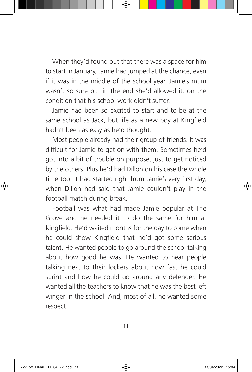When they'd found out that there was a space for him to start in January, Jamie had jumped at the chance, even if it was in the middle of the school year. Jamie's mum wasn't so sure but in the end she'd allowed it, on the condition that his school work didn't suffer.

Jamie had been so excited to start and to be at the same school as Jack, but life as a new boy at Kingfield hadn't been as easy as he'd thought.

Most people already had their group of friends. It was difficult for Jamie to get on with them. Sometimes he'd got into a bit of trouble on purpose, just to get noticed by the others. Plus he'd had Dillon on his case the whole time too. It had started right from Jamie's very first day, when Dillon had said that Jamie couldn't play in the football match during break.

Football was what had made Jamie popular at The Grove and he needed it to do the same for him at Kingfield. He'd waited months for the day to come when he could show Kingfield that he'd got some serious talent. He wanted people to go around the school talking about how good he was. He wanted to hear people talking next to their lockers about how fast he could sprint and how he could go around any defender. He wanted all the teachers to know that he was the best left winger in the school. And, most of all, he wanted some respect.

11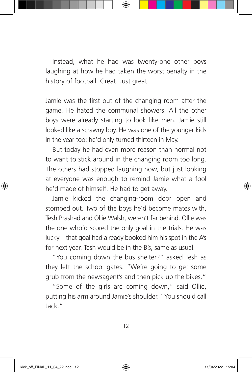Instead, what he had was twenty-one other boys laughing at how he had taken the worst penalty in the history of football. Great. Just great.

Jamie was the first out of the changing room after the game. He hated the communal showers. All the other boys were already starting to look like men. Jamie still looked like a scrawny boy. He was one of the younger kids in the year too; he'd only turned thirteen in May.

But today he had even more reason than normal not to want to stick around in the changing room too long. The others had stopped laughing now, but just looking at everyone was enough to remind Jamie what a fool he'd made of himself. He had to get away.

Jamie kicked the changing-room door open and stomped out. Two of the boys he'd become mates with, Tesh Prashad and Ollie Walsh, weren't far behind. Ollie was the one who'd scored the only goal in the trials. He was lucky – that goal had already booked him his spot in the A's for next year. Tesh would be in the B's, same as usual.

"You coming down the bus shelter?" asked Tesh as they left the school gates. "We're going to get some grub from the newsagent's and then pick up the bikes."

"Some of the girls are coming down," said Ollie, putting his arm around Jamie's shoulder. "You should call Jack."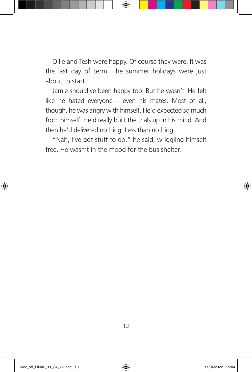Ollie and Tesh were happy. Of course they were. It was the last day of term. The summer holidays were just about to start.

⊕

Jamie should've been happy too. But he wasn't. He felt like he hated everyone – even his mates. Most of all, though, he was angry with himself. He'd expected so much from himself. He'd really built the trials up in his mind. And then he'd delivered nothing. Less than nothing.

"Nah, I've got stuff to do," he said, wriggling himself free. He wasn't in the mood for the bus shelter.

⊕

◈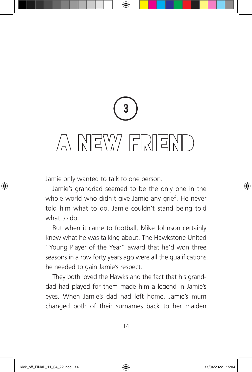# 3 A NEW FRIEN

Jamie only wanted to talk to one person.

Jamie's granddad seemed to be the only one in the whole world who didn't give Jamie any grief. He never told him what to do. Jamie couldn't stand being told what to do.

But when it came to football, Mike Johnson certainly knew what he was talking about. The Hawkstone United "Young Player of the Year" award that he'd won three seasons in a row forty years ago were all the qualifications he needed to gain Jamie's respect.

They both loved the Hawks and the fact that his granddad had played for them made him a legend in Jamie's eyes. When Jamie's dad had left home, Jamie's mum changed both of their surnames back to her maiden

⊕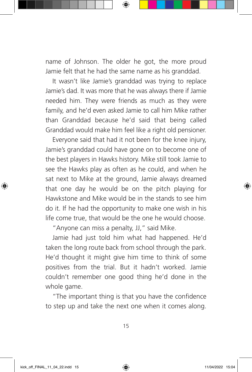name of Johnson. The older he got, the more proud Jamie felt that he had the same name as his granddad.

It wasn't like Jamie's granddad was trying to replace Jamie's dad. It was more that he was always there if Jamie needed him. They were friends as much as they were family, and he'd even asked Jamie to call him Mike rather than Granddad because he'd said that being called Granddad would make him feel like a right old pensioner.

Everyone said that had it not been for the knee injury, Jamie's granddad could have gone on to become one of the best players in Hawks history. Mike still took Jamie to see the Hawks play as often as he could, and when he sat next to Mike at the ground, Jamie always dreamed that one day he would be on the pitch playing for Hawkstone and Mike would be in the stands to see him do it. If he had the opportunity to make one wish in his life come true, that would be the one he would choose.

"Anyone can miss a penalty, JJ," said Mike.

Jamie had just told him what had happened. He'd taken the long route back from school through the park. He'd thought it might give him time to think of some positives from the trial. But it hadn't worked. Jamie couldn't remember one good thing he'd done in the whole game.

"The important thing is that you have the confidence to step up and take the next one when it comes along.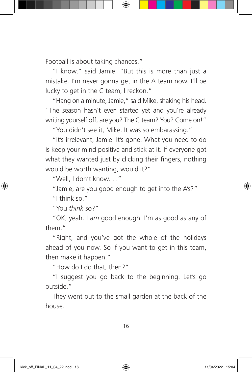Football is about taking chances."

"I know," said Jamie. "But this is more than just a mistake. I'm never gonna get in the A team now. I'll be lucky to get in the C team, I reckon."

⊕

"Hang on a minute, Jamie," said Mike, shaking his head. "The season hasn't even started yet and you're already writing yourself off, are you? The C team? You? Come on!"

"You didn't see it, Mike. It was so embarassing."

"It's irrelevant, Jamie. It's gone. What you need to do is keep your mind positive and stick at it. If everyone got what they wanted just by clicking their fingers, nothing would be worth wanting, would it?"

"Well, I don't know. . ."

"Jamie, are you good enough to get into the A's?" "I think so."

"You *think* so?"

⊕

"OK, yeah. I *am* good enough. I'm as good as any of them."

"Right, and you've got the whole of the holidays ahead of you now. So if you want to get in this team, then make it happen."

"How do I do that, then?"

"I suggest you go back to the beginning. Let's go outside."

They went out to the small garden at the back of the house.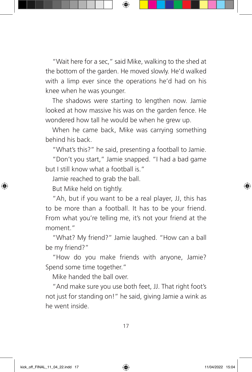"Wait here for a sec," said Mike, walking to the shed at the bottom of the garden. He moved slowly. He'd walked with a limp ever since the operations he'd had on his knee when he was younger.

The shadows were starting to lengthen now. Jamie looked at how massive his was on the garden fence. He wondered how tall he would be when he grew up.

When he came back, Mike was carrying something behind his back.

"What's this?" he said, presenting a football to Jamie.

"Don't you start," Jamie snapped. "I had a bad game but I still know what a football is."

Jamie reached to grab the ball.

But Mike held on tightly.

"Ah, but if you want to be a real player, JJ, this has to be more than a football. It has to be your friend. From what you're telling me, it's not your friend at the moment<sup>"</sup>

"What? My friend?" Jamie laughed. "How can a ball be my friend?"

"How do you make friends with anyone, Jamie? Spend some time together."

Mike handed the ball over.

"And make sure you use both feet, JJ. That right foot's not just for standing on!" he said, giving Jamie a wink as he went inside.

◈